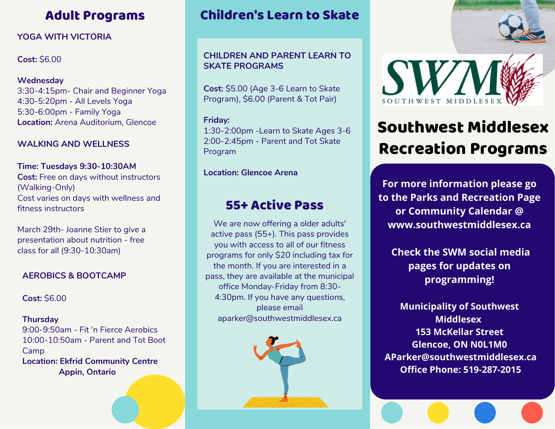## **YOGA WITH VICTORIA**

**Cost:** \$6.00

#### **Wednesday**

3:30-4:15pm- Chair and Beginner Yoga 4:30-5:20pm - All Levels Yoga 5:30-6:00pm - Family Yoga **Location:** Arena Auditorium, Glencoe

## **WALKING AND WELLNESS**

**Time: Tuesdays 9:30-10:30AM Cost:** Free on days without instructors (Walking-Only) Cost varies on days with wellness and fitness instructors

March 29th- Joanne Stier to give a presentation about nutrition - free class for all (9:30-10:30am)

## **AEROBICS & BOOTCAMP**

**Cost:** \$6.00

### **Thursday**

9:00-9:50am - Fit 'n Fierce Aerobics 10:00-10:50am - Parent and Tot Boot Camp **Location: Ekfrid Community Centre Appin, Ontario**

## Adult Programs Children's Learn to Skate

## **CHILDREN AND PARENT LEARN TO SKATE PROGRAMS**

**Cost:** \$5.00 (Age 3-6 Learn to Skate Program), \$6.00 (Parent & Tot Pair)

### **Friday:**

1:30-2:00pm -Learn to Skate Ages 3-6 2:00-2:45pm - Parent and Tot Skate Program

**Location: Glencoe Arena**

## 55+ Active Pass

We are now offering a older adults' active pass (55+). This pass provides you with access to all of our fitness programs for only \$20 including tax for the month. If you are interested in a pass, they are available at the municipal office Monday-Friday from 8:30- 4:30pm. If you have any questions, please email aparker@southwestmiddlesex.ca





# Southwest Middlesex Recreation Programs

**For more information please go to the Parks and Recreation Page or Community Calendar @ www.southwestmiddlesex.ca**

**Check the SWM social media pages for updates on programming!**

**Municipality of Southwest Middlesex 153 McKellar Street Glencoe, ON N0L1M0 AParker@southwestmiddlesex.ca Office Phone: 519-287-2015**